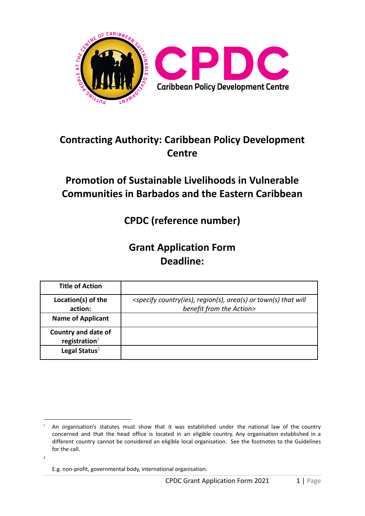

# **Contracting Authority: Caribbean Policy Development Centre**

# **Promotion of Sustainable Livelihoods in Vulnerable Communities in Barbados and the Eastern Caribbean**

**CPDC (reference number)**

# **Grant Application Form Deadline:**

| <b>Title of Action</b>                  |                                                                                                                              |
|-----------------------------------------|------------------------------------------------------------------------------------------------------------------------------|
| Location(s) of the<br>action:           | <specify area(s)="" country(ies),="" or="" region(s),="" that="" town(s)="" will<br="">benefit from the Action&gt;</specify> |
| <b>Name of Applicant</b>                |                                                                                                                              |
| Country and date of<br>registration $1$ |                                                                                                                              |
| Legal Status $2$                        |                                                                                                                              |

2

An organisation's statutes must show that it was established under the national law of the country concerned and that the head office is located in an eligible country. Any organisation established in a different country cannot be considered an eligible local organisation. See the footnotes to the Guidelines for the call.

E.g. non-profit, governmental body, international organisation.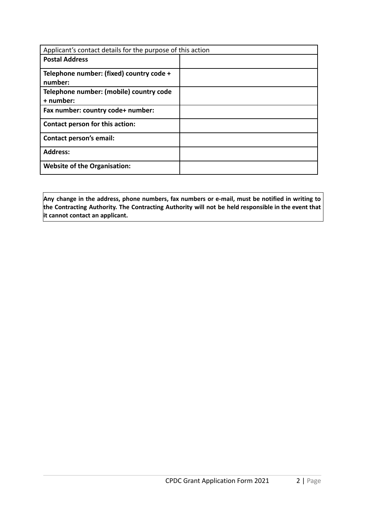| Applicant's contact details for the purpose of this action |  |
|------------------------------------------------------------|--|
| <b>Postal Address</b>                                      |  |
| Telephone number: (fixed) country code +<br>number:        |  |
| Telephone number: (mobile) country code<br>+ number:       |  |
| Fax number: country code+ number:                          |  |
| Contact person for this action:                            |  |
| <b>Contact person's email:</b>                             |  |
| <b>Address:</b>                                            |  |
| <b>Website of the Organisation:</b>                        |  |

**Any change in the address, phone numbers, fax numbers or e-mail, must be notified in writing to the Contracting Authority. The Contracting Authority will not be held responsible in the event that it cannot contact an applicant.**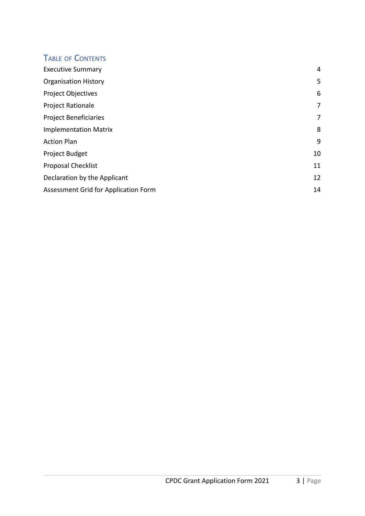### TABLE OF CONTENTS

| <b>Executive Summary</b>             | 4  |
|--------------------------------------|----|
| <b>Organisation History</b>          | 5  |
| Project Objectives                   | 6  |
| <b>Project Rationale</b>             | 7  |
| <b>Project Beneficiaries</b>         | 7  |
| <b>Implementation Matrix</b>         | 8  |
| <b>Action Plan</b>                   | 9  |
| Project Budget                       | 10 |
| <b>Proposal Checklist</b>            | 11 |
| Declaration by the Applicant         | 12 |
| Assessment Grid for Application Form | 14 |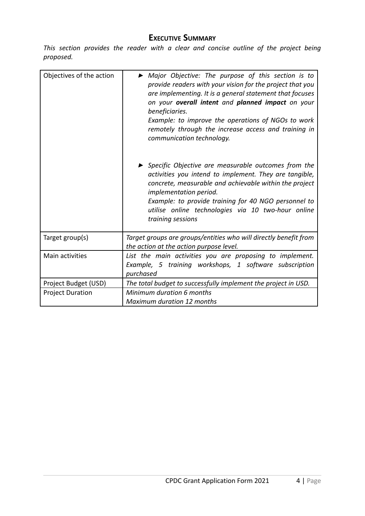#### **EXECUTIVE SUMMARY**

<span id="page-3-0"></span>*This section provides the reader with a clear and concise outline of the project being proposed.*

| Objectives of the action | • Major Objective: The purpose of this section is to<br>provide readers with your vision for the project that you<br>are implementing. It is a general statement that focuses<br>on your overall intent and planned impact on your<br>beneficiaries.<br>Example: to improve the operations of NGOs to work<br>remotely through the increase access and training in<br>communication technology. |
|--------------------------|-------------------------------------------------------------------------------------------------------------------------------------------------------------------------------------------------------------------------------------------------------------------------------------------------------------------------------------------------------------------------------------------------|
|                          | ▶ Specific Objective are measurable outcomes from the<br>activities you intend to implement. They are tangible,<br>concrete, measurable and achievable within the project<br>implementation period.<br>Example: to provide training for 40 NGO personnel to<br>utilise online technologies via 10 two-hour online<br>training sessions                                                          |
| Target group(s)          | Target groups are groups/entities who will directly benefit from<br>the action at the action purpose level.                                                                                                                                                                                                                                                                                     |
| <b>Main activities</b>   | List the main activities you are proposing to implement.<br>Example, 5 training workshops, 1 software subscription<br>purchased                                                                                                                                                                                                                                                                 |
| Project Budget (USD)     | The total budget to successfully implement the project in USD.                                                                                                                                                                                                                                                                                                                                  |
| <b>Project Duration</b>  | Minimum duration 6 months<br><b>Maximum duration 12 months</b>                                                                                                                                                                                                                                                                                                                                  |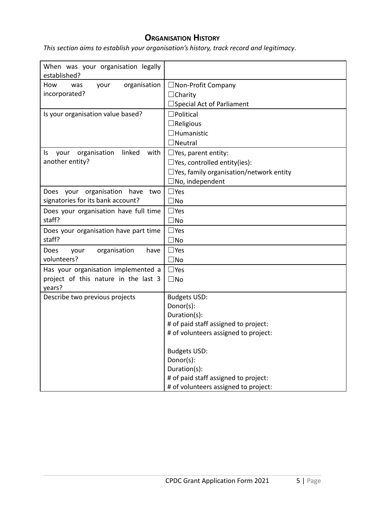#### **ORGANISATION HISTORY**

<span id="page-4-0"></span>*This section aims to establish your organisation's history, track record and legitimacy*.

| When was your organisation legally<br>established? |                                                |
|----------------------------------------------------|------------------------------------------------|
| organisation<br>How<br>your<br>was                 | $\Box$ Non-Profit Company                      |
| incorporated?                                      | $\Box$ Charity                                 |
|                                                    | Special Act of Parliament                      |
| Is your organisation value based?                  | $\exists$ Political                            |
|                                                    | $\Box$ Religious                               |
|                                                    | ∃Humanistic                                    |
|                                                    | $\exists$ Neutral                              |
| organisation<br>linked<br>with<br>your<br>ls       | $\Box$ Yes, parent entity:                     |
| another entity?                                    | $\Box$ Yes, controlled entity(ies):            |
|                                                    | $\Box$ Yes, family organisation/network entity |
|                                                    | No, independent                                |
| organisation<br>have<br>Does your<br>two           | $\square$ Yes                                  |
| signatories for its bank account?                  | $\square$ No                                   |
| Does your organisation have full time              | $\square$ Yes                                  |
| staff?                                             | $\square$ No                                   |
| Does your organisation have part time              | $\Box$ Yes                                     |
| staff?                                             | $\square$ No                                   |
| organisation<br>Does<br>have<br>your               | $\Box$ Yes                                     |
| volunteers?                                        | $\square$ No                                   |
| Has your organisation implemented a                | $\square$ Yes                                  |
| project of this nature in the last 3               | $\square$ No                                   |
| years?                                             |                                                |
| Describe two previous projects                     | <b>Budgets USD:</b>                            |
|                                                    | Donor(s):                                      |
|                                                    | Duration(s):                                   |
|                                                    | # of paid staff assigned to project:           |
|                                                    | # of volunteers assigned to project:           |
|                                                    | <b>Budgets USD:</b>                            |
|                                                    | Donor(s):                                      |
|                                                    | Duration(s):                                   |
|                                                    | # of paid staff assigned to project:           |
|                                                    | # of volunteers assigned to project:           |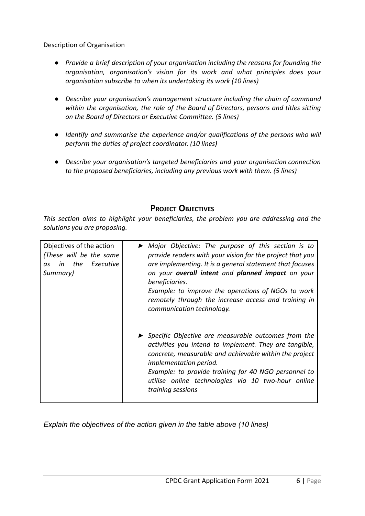Description of Organisation

- *● Provide a brief description of your organisation including the reasons for founding the organisation, organisation's vision for its work and what principles does your organisation subscribe to when its undertaking its work (10 lines)*
- *● Describe your organisation's management structure including the chain of command within the organisation, the role of the Board of Directors, persons and titles sitting on the Board of Directors or Executive Committee. (5 lines)*
- *● Identify and summarise the experience and/or qualifications of the persons who will perform the duties of project coordinator. (10 lines)*
- *● Describe your organisation's targeted beneficiaries and your organisation connection to the proposed beneficiaries, including any previous work with them. (5 lines)*

#### **PROJECT OBJECTIVES**

<span id="page-5-0"></span>*This section aims to highlight your beneficiaries, the problem you are addressing and the solutions you are proposing.*

| Objectives of the action<br>(These will be the same<br>the Executive<br>in<br>as<br>Summary) | • Major Objective: The purpose of this section is to<br>provide readers with your vision for the project that you<br>are implementing. It is a general statement that focuses<br>on your <b>overall intent</b> and <b>planned impact</b> on your<br>beneficiaries.<br>Example: to improve the operations of NGOs to work<br>remotely through the increase access and training in<br>communication technology. |
|----------------------------------------------------------------------------------------------|---------------------------------------------------------------------------------------------------------------------------------------------------------------------------------------------------------------------------------------------------------------------------------------------------------------------------------------------------------------------------------------------------------------|
|                                                                                              | ▶ Specific Objective are measurable outcomes from the<br>activities you intend to implement. They are tangible,<br>concrete, measurable and achievable within the project<br><i>implementation period.</i><br>Example: to provide training for 40 NGO personnel to<br>utilise online technologies via 10 two-hour online<br>training sessions                                                                 |

*Explain the objectives of the action given in the table above (10 lines)*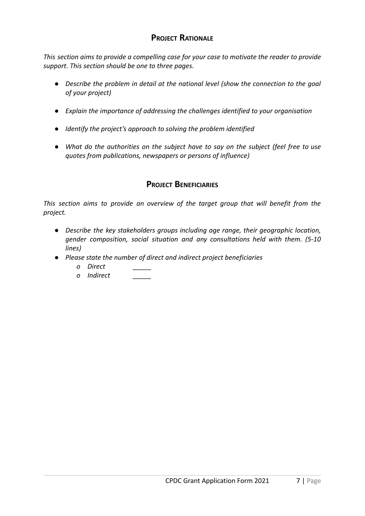#### **PROJECT RATIONALE**

<span id="page-6-0"></span>*This section aims to provide a compelling case for your case to motivate the reader to provide support*. *This section should be one to three pages.*

- *● Describe the problem in detail at the national level (show the connection to the goal of your project)*
- *● Explain the importance of addressing the challenges identified to your organisation*
- *● Identify the project's approach to solving the problem identified*
- *● What do the authorities on the subject have to say on the subject (feel free to use quotes from publications, newspapers or persons of influence)*

#### **PROJECT BENEFICIARIES**

<span id="page-6-1"></span>*This section aims to provide an overview of the target group that will benefit from the project.*

- *● Describe the key stakeholders groups including age range, their geographic location, gender composition, social situation and any consultations held with them. (5-10 lines)*
- *● Please state the number of direct and indirect project beneficiaries*
	- *o Direct \_\_\_\_\_*
	- *o Indirect \_\_\_\_\_*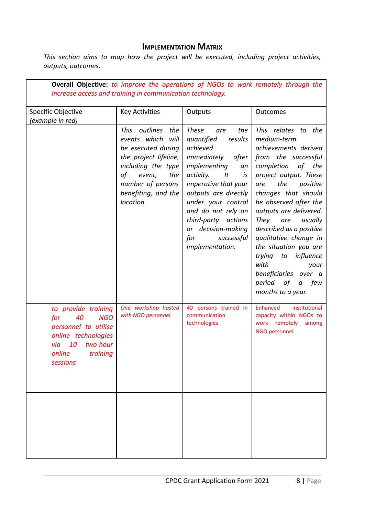#### **IMPLEMENTATION MATRIX**

<span id="page-7-0"></span>*This section aims to map how the project will be executed, including project activities, outputs, outcomes.*

| <b>Overall Objective:</b> to improve the operations of NGOs to work remotely through the                                                              |                                                                                                                                                                                                      |                                                                                                                                                                                                                                                                                                                         |                                                                                                                                                                                                                                                                                                                                                                                                                                                                                        |  |  |  |  |  |  |
|-------------------------------------------------------------------------------------------------------------------------------------------------------|------------------------------------------------------------------------------------------------------------------------------------------------------------------------------------------------------|-------------------------------------------------------------------------------------------------------------------------------------------------------------------------------------------------------------------------------------------------------------------------------------------------------------------------|----------------------------------------------------------------------------------------------------------------------------------------------------------------------------------------------------------------------------------------------------------------------------------------------------------------------------------------------------------------------------------------------------------------------------------------------------------------------------------------|--|--|--|--|--|--|
| increase access and training in communication technology.                                                                                             |                                                                                                                                                                                                      |                                                                                                                                                                                                                                                                                                                         |                                                                                                                                                                                                                                                                                                                                                                                                                                                                                        |  |  |  |  |  |  |
| Specific Objective<br>(example in red)                                                                                                                | <b>Key Activities</b>                                                                                                                                                                                | Outputs                                                                                                                                                                                                                                                                                                                 | Outcomes                                                                                                                                                                                                                                                                                                                                                                                                                                                                               |  |  |  |  |  |  |
|                                                                                                                                                       | This<br>outlines<br>the<br>events which<br>will<br>be executed during<br>the project lifeline,<br>including the type<br>of<br>event,<br>the<br>number of persons<br>benefiting, and the<br>location. | <b>These</b><br>the<br>are<br>quantified<br>results<br>achieved<br>immediately<br>after<br>implementing<br>an<br>activity.<br>It<br>is<br>imperative that your<br>outputs are directly<br>under your control<br>and do not rely on<br>third-party actions<br>or decision-making<br>successful<br>for<br>implementation. | This relates to the<br>medium-term<br>achievements derived<br>from the successful<br>completion<br>of the<br>project output. These<br>the<br>positive<br>are<br>changes that should<br>be observed after the<br>outputs are delivered.<br><b>They</b><br>usually<br>are<br>described as a positive<br>qualitative change in<br>the situation you are<br>to influence<br>trying<br>with<br>your<br>beneficiaries over a<br>period<br>of<br>few<br>$\boldsymbol{a}$<br>months to a year. |  |  |  |  |  |  |
| to provide training<br><b>NGO</b><br>for<br>40<br>personnel to utilise<br>online technologies<br>10<br>two-hour<br>via<br>online training<br>sessions | One workshop hosted<br>with NGO personnel                                                                                                                                                            | 40 persons trained in<br>communication<br>technologies                                                                                                                                                                                                                                                                  | Enhanced<br>institutional<br>capacity within NGOs to<br>work remotely<br>among<br>NGO personnel                                                                                                                                                                                                                                                                                                                                                                                        |  |  |  |  |  |  |
|                                                                                                                                                       |                                                                                                                                                                                                      |                                                                                                                                                                                                                                                                                                                         |                                                                                                                                                                                                                                                                                                                                                                                                                                                                                        |  |  |  |  |  |  |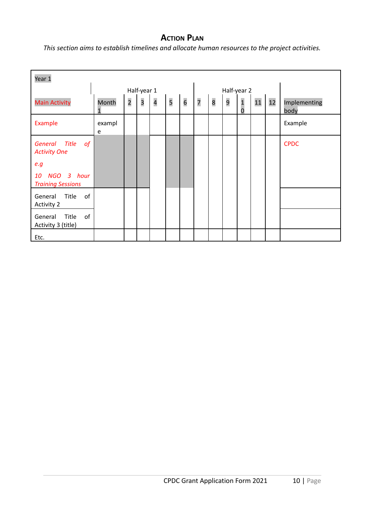#### **ACTION PLAN**

<span id="page-9-0"></span>*This section aims to establish timelines and allocate human resources to the project activities.*

| Year 1                                                                                            |             |                         |                         |                         |   |                 |                |   |   |                                  |    |    |                      |
|---------------------------------------------------------------------------------------------------|-------------|-------------------------|-------------------------|-------------------------|---|-----------------|----------------|---|---|----------------------------------|----|----|----------------------|
|                                                                                                   |             |                         | Half-year 1             |                         |   |                 | Half-year 2    |   |   |                                  |    |    |                      |
| <b>Main Activity</b>                                                                              | Month<br>1  | $\overline{\mathbf{c}}$ | $\overline{\mathbf{3}}$ | $\overline{\mathbf{r}}$ | 5 | $6\overline{6}$ | $\overline{7}$ | 8 | 9 | $\overline{1}$<br>$\overline{0}$ | 11 | 12 | Implementing<br>body |
| Example                                                                                           | exampl<br>e |                         |                         |                         |   |                 |                |   |   |                                  |    |    | Example              |
| General Title<br>of<br><b>Activity One</b><br>e.g<br>NGO 3 hour<br>10<br><b>Training Sessions</b> |             |                         |                         |                         |   |                 |                |   |   |                                  |    |    | <b>CPDC</b>          |
| of<br>Title<br>General<br><b>Activity 2</b><br>of<br>Title<br>General<br>Activity 3 (title)       |             |                         |                         |                         |   |                 |                |   |   |                                  |    |    |                      |
| Etc.                                                                                              |             |                         |                         |                         |   |                 |                |   |   |                                  |    |    |                      |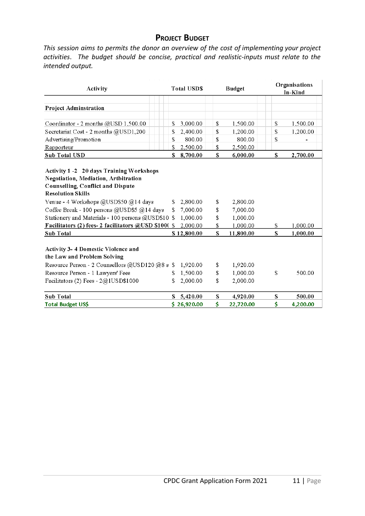#### **PROJECT BUDGET**

<span id="page-10-0"></span>*This session aims to permits the donor an overview of the cost of implementing your project activities*. *The budget should be concise, practical and realistic-inputs must relate to the intended output.*

| Activity                                                                                                                                                                                                                                                                                                                                                                                                                |        | <b>Total USDS</b>                               |                | <b>Budget</b>                                 |          | Organisations<br>In-Kind |
|-------------------------------------------------------------------------------------------------------------------------------------------------------------------------------------------------------------------------------------------------------------------------------------------------------------------------------------------------------------------------------------------------------------------------|--------|-------------------------------------------------|----------------|-----------------------------------------------|----------|--------------------------|
| <b>Project Adminstration</b>                                                                                                                                                                                                                                                                                                                                                                                            |        |                                                 |                |                                               |          |                          |
| Coordinator - 2 months @USD 1,500.00                                                                                                                                                                                                                                                                                                                                                                                    | \$     | 3,000.00                                        | \$             | 1,500.00                                      | \$       | 1,500.00                 |
| Secretariat Cost - 2 months @USD1,200                                                                                                                                                                                                                                                                                                                                                                                   | \$     | 2,400.00                                        | \$             | 1,200.00                                      | \$       | 1,200.00                 |
| Advertising/Promotion                                                                                                                                                                                                                                                                                                                                                                                                   | \$     | 800.00                                          | \$             | 800.00                                        | \$       |                          |
| Rapporteur                                                                                                                                                                                                                                                                                                                                                                                                              | \$     | 2,500.00                                        | \$             | 2,500.00                                      |          |                          |
| Sub Total USD                                                                                                                                                                                                                                                                                                                                                                                                           | S      | 8,700.00                                        | \$             | 6,000.00                                      | \$       | 2,700.00                 |
| Counselling, Conflict and Dispute<br><b>Resolution Skills</b><br>Venue - 4 Workshops @USD\$50 @14 days<br>2,800.00<br>2,800.00<br>S.<br>\$<br>Coffee Break - 100 persons @USD\$5 @14 days<br>7,000.00<br>7,000.00<br>\$<br>\$<br>Stationery and Materials - 100 persons @USD\$10 \$<br>1,000.00<br>1,000.00<br>\$<br>Facilitators (2) fees-2 facilitators @USD \$100(\$<br>2,000.00<br>\$<br>1,000.00<br>\$<br>\$<br>\$ |        |                                                 |                |                                               |          | 1,000.00<br>1,000.00     |
| <b>Sub Total</b><br><b>Activity 3-4 Domestic Violence and</b><br>the Law and Problem Solving<br>Resource Person - 2 Counsellors @USD120 @8 s \$<br>Resource Person - 1 Lawyers' Fees<br>Facilitators (2) Fees - $2@1USD$1000$                                                                                                                                                                                           | S<br>S | \$12,800.00<br>1,920.00<br>1,500.00<br>2,000.00 | \$<br>\$<br>\$ | 11,800.00<br>1,920.00<br>1,000.00<br>2,000.00 | \$       | 500.00                   |
| <b>Sub Total</b>                                                                                                                                                                                                                                                                                                                                                                                                        | S      | 5,420.00<br>\$26,920.00                         | \$<br>\$       | 4,920.00                                      | \$<br>\$ | 500.00                   |
| Total Budget US\$                                                                                                                                                                                                                                                                                                                                                                                                       |        |                                                 |                | 22,720.00                                     |          | 4,200.00                 |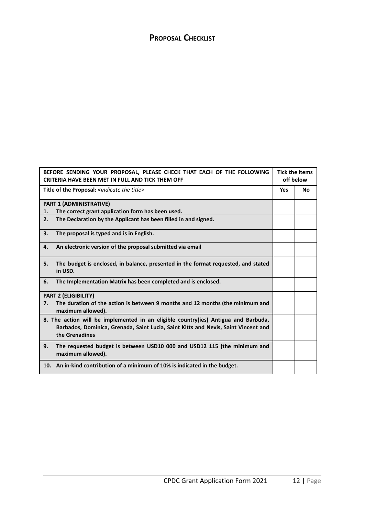#### <span id="page-11-0"></span>**PROPOSAL CHECKLIST**

| BEFORE SENDING YOUR PROPOSAL, PLEASE CHECK THAT EACH OF THE FOLLOWING<br><b>CRITERIA HAVE BEEN MET IN FULL AND TICK THEM OFF</b>                                                           |            | <b>Tick the items</b><br>off below |
|--------------------------------------------------------------------------------------------------------------------------------------------------------------------------------------------|------------|------------------------------------|
| Title of the Proposal: <indicate the="" title=""></indicate>                                                                                                                               | <b>Yes</b> | <b>No</b>                          |
| <b>PART 1 (ADMINISTRATIVE)</b>                                                                                                                                                             |            |                                    |
| The correct grant application form has been used.<br>1.                                                                                                                                    |            |                                    |
| 2.<br>The Declaration by the Applicant has been filled in and signed.                                                                                                                      |            |                                    |
| 3.<br>The proposal is typed and is in English.                                                                                                                                             |            |                                    |
| An electronic version of the proposal submitted via email<br>4.                                                                                                                            |            |                                    |
| The budget is enclosed, in balance, presented in the format requested, and stated<br>5.<br>in USD.                                                                                         |            |                                    |
| The Implementation Matrix has been completed and is enclosed.<br>6.                                                                                                                        |            |                                    |
| <b>PART 2 (ELIGIBILITY)</b>                                                                                                                                                                |            |                                    |
| The duration of the action is between 9 months and 12 months (the minimum and<br>7.<br>maximum allowed).                                                                                   |            |                                    |
| 8. The action will be implemented in an eligible country(ies) Antigua and Barbuda,<br>Barbados, Dominica, Grenada, Saint Lucia, Saint Kitts and Nevis, Saint Vincent and<br>the Grenadines |            |                                    |
| 9.<br>The requested budget is between USD10 000 and USD12 115 (the minimum and<br>maximum allowed).                                                                                        |            |                                    |
| 10. An in-kind contribution of a minimum of 10% is indicated in the budget.                                                                                                                |            |                                    |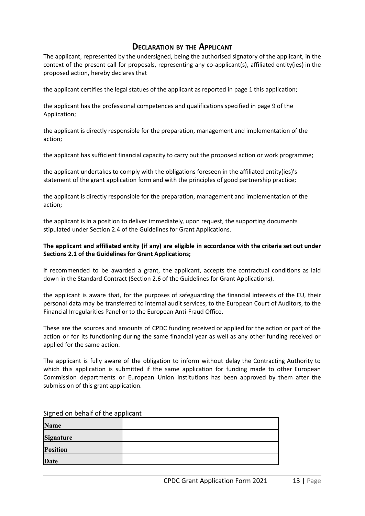#### **DECLARATION BY THE APPLICANT**

<span id="page-12-0"></span>The applicant, represented by the undersigned, being the authorised signatory of the applicant, in the context of the present call for proposals, representing any co-applicant(s), affiliated entity(ies) in the proposed action, hereby declares that

the applicant certifies the legal statues of the applicant as reported in page 1 this application;

the applicant has the professional competences and qualifications specified in page 9 of the Application;

the applicant is directly responsible for the preparation, management and implementation of the action;

the applicant has sufficient financial capacity to carry out the proposed action or work programme;

the applicant undertakes to comply with the obligations foreseen in the affiliated entity(ies)'s statement of the grant application form and with the principles of good partnership practice;

the applicant is directly responsible for the preparation, management and implementation of the action;

the applicant is in a position to deliver immediately, upon request, the supporting documents stipulated under Section 2.4 of the Guidelines for Grant Applications.

#### **The applicant and affiliated entity (if any) are eligible in accordance with the criteria set out under Sections 2.1 of the Guidelines for Grant Applications;**

if recommended to be awarded a grant, the applicant, accepts the contractual conditions as laid down in the Standard Contract (Section 2.6 of the Guidelines for Grant Applications).

the applicant is aware that, for the purposes of safeguarding the financial interests of the EU, their personal data may be transferred to internal audit services, to the European Court of Auditors, to the Financial Irregularities Panel or to the European Anti-Fraud Office.

These are the sources and amounts of CPDC funding received or applied for the action or part of the action or for its functioning during the same financial year as well as any other funding received or applied for the same action.

The applicant is fully aware of the obligation to inform without delay the Contracting Authority to which this application is submitted if the same application for funding made to other European Commission departments or European Union institutions has been approved by them after the submission of this grant application.

| Signed on behalf of the applicant |  |  |  |  |  |
|-----------------------------------|--|--|--|--|--|
| <b>Name</b>                       |  |  |  |  |  |
| Signature                         |  |  |  |  |  |
| <b>Position</b>                   |  |  |  |  |  |
| Date                              |  |  |  |  |  |

Signed on behalf of the applicant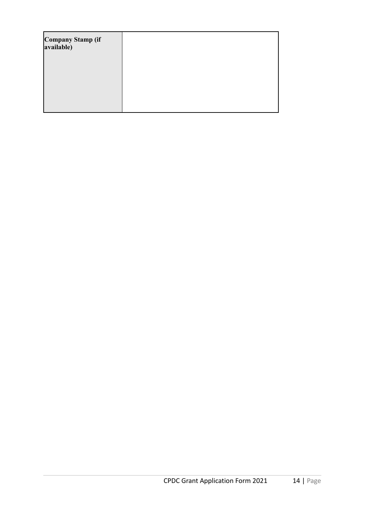| Company Stamp (if<br>available) |  |
|---------------------------------|--|
|                                 |  |
|                                 |  |
|                                 |  |